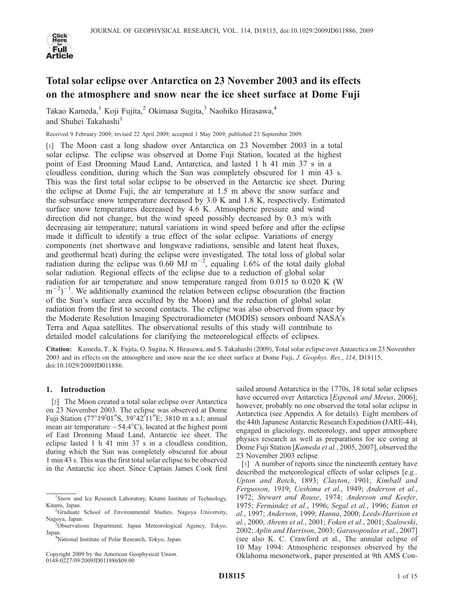

# Total solar eclipse over Antarctica on 23 November 2003 and its effects on the atmosphere and snow near the ice sheet surface at Dome Fuji

Takao Kameda,<sup>1</sup> Koji Fujita,<sup>2</sup> Okimasa Sugita,<sup>3</sup> Naohiko Hirasawa,<sup>4</sup> and Shuhei Takahashi<sup>1</sup>

Received 9 February 2009; revised 22 April 2009; accepted 1 May 2009; published 23 September 2009.

[1] The Moon cast a long shadow over Antarctica on 23 November 2003 in a total solar eclipse. The eclipse was observed at Dome Fuji Station, located at the highest point of East Dronning Maud Land, Antarctica, and lasted 1 h 41 min 37 s in a cloudless condition, during which the Sun was completely obscured for 1 min 43 s. This was the first total solar eclipse to be observed in the Antarctic ice sheet. During the eclipse at Dome Fuji, the air temperature at 1.5 m above the snow surface and the subsurface snow temperature decreased by 3.0 K and 1.8 K, respectively. Estimated surface snow temperatures decreased by 4.6 K. Atmospheric pressure and wind direction did not change, but the wind speed possibly decreased by 0.3 m/s with decreasing air temperature; natural variations in wind speed before and after the eclipse made it difficult to identify a true effect of the solar eclipse. Variations of energy components (net shortwave and longwave radiations, sensible and latent heat fluxes, and geothermal heat) during the eclipse were investigated. The total loss of global solar radiation during the eclipse was 0.60 MJ  $m^{-2}$ , equaling 1.6% of the total daily global solar radiation. Regional effects of the eclipse due to a reduction of global solar radiation for air temperature and snow temperature ranged from 0.015 to 0.020 K (W  $(m^{-2})^{-1}$ . We additionally examined the relation between eclipse obscuration (the fraction of the Sun's surface area occulted by the Moon) and the reduction of global solar radiation from the first to second contacts. The eclipse was also observed from space by the Moderate Resolution Imaging Spectroradiometer (MODIS) sensors onboard NASA's Terra and Aqua satellites. The observational results of this study will contribute to detailed model calculations for clarifying the meteorological effects of eclipses.

Citation: Kameda, T., K. Fujita, O. Sugita, N. Hirasawa, and S. Takahashi (2009), Total solar eclipse over Antarctica on 23 November 2003 and its effects on the atmosphere and snow near the ice sheet surface at Dome Fuji, J. Geophys. Res., 114, D18115, doi:10.1029/2009JD011886.

## 1. Introduction

[2] The Moon created a total solar eclipse over Antarctica on 23 November 2003. The eclipse was observed at Dome Fuji Station (77°19′01″S, 39°42′11″E; 3810 m a.s.l; annual mean air temperature  $-54.4^{\circ}$ C), located at the highest point of East Dronning Maud Land, Antarctic ice sheet. The eclipse lasted 1 h 41 min 37 s in a cloudless condition, during which the Sun was completely obscured for about 1 min 43 s. This was the first total solar eclipse to be observed in the Antarctic ice sheet. Since Captain James Cook first

National Institute of Polar Research, Tokyo, Japan.

Copyright 2009 by the American Geophysical Union. 0148-0227/09/2009JD011886\$09.00

sailed around Antarctica in the 1770s, 18 total solar eclipses have occurred over Antarctica [Espenak and Meeus, 2006]; however, probably no one observed the total solar eclipse in Antarctica (see Appendix A for details). Eight members of the 44th Japanese Antarctic Research Expedition (JARE-44), engaged in glaciology, meteorology, and upper atmosphere physics research as well as preparations for ice coring at Dome Fuji Station [Kameda et al., 2005, 2007], observed the 23 November 2003 eclipse.

[3] A number of reports since the nineteenth century have described the meteorological effects of solar eclipses [e.g., Upton and Rotch, 1893; Clayton, 1901; Kimball and Fergusson, 1919; Ueshima et al., 1949; Anderson et al., 1972; Stewart and Rouse, 1974; Anderson and Keefer, 1975; Fernández et al., 1996; Segal et al., 1996; Eaton et al., 1997; Anderson, 1999; Hanna, 2000; Leeds-Harrison et al., 2000; Ahrens et al., 2001; Foken et al., 2001; Szalowski, 2002; Aplin and Harrison, 2003; Garasopoulos et al., 2007] (see also K. C. Crawford et al., The annular eclipse of 10 May 1994: Atmospheric responses observed by the Oklahoma mesonetwork, paper presented at 9th AMS Con-

<sup>1</sup> Snow and Ice Research Laboratory, Kitami Institute of Technology, Kitami, Japan. <sup>2</sup>

<sup>&</sup>lt;sup>2</sup>Graduate School of Environmental Studies, Nagoya University, Nagoya, Japan.

<sup>&</sup>lt;sup>3</sup>Observations Department, Japan Meteorological Agency, Tokyo, Japan. <sup>4</sup>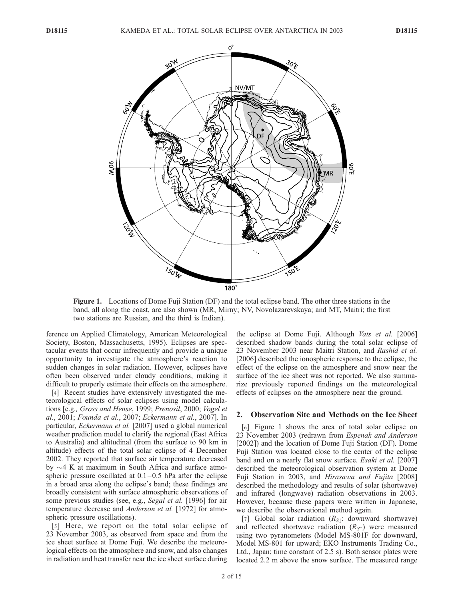

Figure 1. Locations of Dome Fuji Station (DF) and the total eclipse band. The other three stations in the band, all along the coast, are also shown (MR, Mirny; NV, Novolazarevskaya; and MT, Maitri; the first two stations are Russian, and the third is Indian).

ference on Applied Climatology, American Meteorological Society, Boston, Massachusetts, 1995). Eclipses are spectacular events that occur infrequently and provide a unique opportunity to investigate the atmosphere's reaction to sudden changes in solar radiation. However, eclipses have often been observed under cloudy conditions, making it difficult to properly estimate their effects on the atmosphere.

[4] Recent studies have extensively investigated the meteorological effects of solar eclipses using model calculations [e.g., Gross and Hense, 1999; Prenosil, 2000; Vogel et al., 2001; Founda et al., 2007; Eckermann et al., 2007]. In particular, Eckermann et al. [2007] used a global numerical weather prediction model to clarify the regional (East Africa to Australia) and altitudinal (from the surface to 90 km in altitude) effects of the total solar eclipse of 4 December 2002. They reported that surface air temperature decreased by  $\sim$ 4 K at maximum in South Africa and surface atmospheric pressure oscillated at  $0.1 - 0.5$  hPa after the eclipse in a broad area along the eclipse's band; these findings are broadly consistent with surface atmospheric observations of some previous studies (see, e.g., Segal et al. [1996] for air temperature decrease and Anderson et al. [1972] for atmospheric pressure oscillations).

[5] Here, we report on the total solar eclipse of 23 November 2003, as observed from space and from the ice sheet surface at Dome Fuji. We describe the meteorological effects on the atmosphere and snow, and also changes in radiation and heat transfer near the ice sheet surface during

the eclipse at Dome Fuji. Although Vats et al. [2006] described shadow bands during the total solar eclipse of 23 November 2003 near Maitri Station, and Rashid et al. [2006] described the ionospheric response to the eclipse, the effect of the eclipse on the atmosphere and snow near the surface of the ice sheet was not reported. We also summarize previously reported findings on the meteorological effects of eclipses on the atmosphere near the ground.

## 2. Observation Site and Methods on the Ice Sheet

[6] Figure 1 shows the area of total solar eclipse on 23 November 2003 (redrawn from Espenak and Anderson [2002]) and the location of Dome Fuji Station (DF). Dome Fuji Station was located close to the center of the eclipse band and on a nearly flat snow surface. *Esaki et al.* [2007] described the meteorological observation system at Dome Fuji Station in 2003, and *Hirasawa and Fujita* [2008] described the methodology and results of solar (shortwave) and infrared (longwave) radiation observations in 2003. However, because these papers were written in Japanese, we describe the observational method again.

[7] Global solar radiation  $(R_{S\downarrow}:$  downward shortwave) and reflected shortwave radiation  $(R_{S<sub>1</sub>})$  were measured using two pyranometers (Model MS-801F for downward, Model MS-801 for upward; EKO Instruments Trading Co., Ltd., Japan; time constant of 2.5 s). Both sensor plates were located 2.2 m above the snow surface. The measured range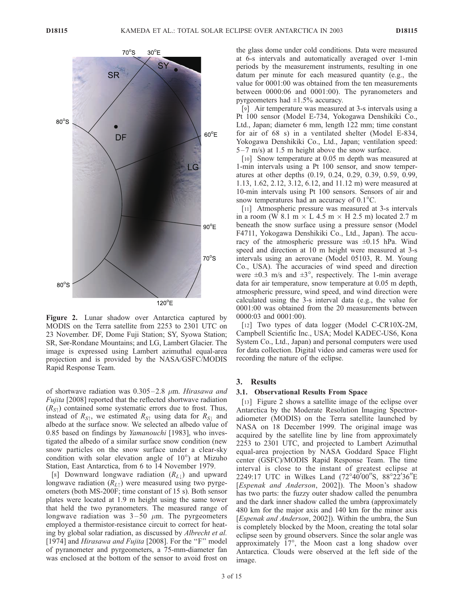

Figure 2. Lunar shadow over Antarctica captured by MODIS on the Terra satellite from 2253 to 2301 UTC on 23 November. DF, Dome Fuji Station; SY, Syowa Station; SR, Sør-Rondane Mountains; and LG, Lambert Glacier. The image is expressed using Lambert azimuthal equal-area projection and is provided by the NASA/GSFC/MODIS Rapid Response Team.

of shortwave radiation was  $0.305 - 2.8 \mu m$ . Hirasawa and Fujita [2008] reported that the reflected shortwave radiation  $(R_{S\uparrow})$  contained some systematic errors due to frost. Thus, instead of  $R_{S\uparrow}$ , we estimated  $R_{S\uparrow}$  using data for  $R_{S\downarrow}$  and albedo at the surface snow. We selected an albedo value of 0.85 based on findings by Yamanouchi [1983], who investigated the albedo of a similar surface snow condition (new snow particles on the snow surface under a clear-sky condition with solar elevation angle of  $10^{\circ}$ ) at Mizuho Station, East Antarctica, from 6 to 14 November 1979.

[8] Downward longwave radiation  $(R_{L\downarrow})$  and upward longwave radiation  $(R<sub>L\uparrow</sub>)$  were measured using two pyrgeometers (both MS-200F; time constant of 15 s). Both sensor plates were located at 1.9 m height using the same tower that held the two pyranometers. The measured range of longwave radiation was  $3-50 \mu m$ . The pyrgeometers employed a thermistor-resistance circuit to correct for heating by global solar radiation, as discussed by Albrecht et al. [1974] and Hirasawa and Fujita [2008]. For the "F" model of pyranometer and pyrgeometers, a 75-mm-diameter fan was enclosed at the bottom of the sensor to avoid frost on

the glass dome under cold conditions. Data were measured at 6-s intervals and automatically averaged over 1-min periods by the measurement instruments, resulting in one datum per minute for each measured quantity (e.g., the value for 0001:00 was obtained from the ten measurements between 0000:06 and 0001:00). The pyranometers and pyrgeometers had ±1.5% accuracy.

[9] Air temperature was measured at 3-s intervals using a Pt 100 sensor (Model E-734, Yokogawa Denshikiki Co., Ltd., Japan; diameter 6 mm, length 122 mm; time constant for air of 68 s) in a ventilated shelter (Model E-834, Yokogawa Denshikiki Co., Ltd., Japan; ventilation speed:  $5-7$  m/s) at 1.5 m height above the snow surface.

[10] Snow temperature at 0.05 m depth was measured at 1-min intervals using a Pt 100 sensor, and snow temperatures at other depths (0.19, 0.24, 0.29, 0.39, 0.59, 0.99, 1.13, 1.62, 2.12, 3.12, 6.12, and 11.12 m) were measured at 10-min intervals using Pt 100 sensors. Sensors of air and snow temperatures had an accuracy of  $0.1^{\circ}$ C.

[11] Atmospheric pressure was measured at 3-s intervals in a room (W 8.1 m  $\times$  L 4.5 m  $\times$  H 2.5 m) located 2.7 m beneath the snow surface using a pressure sensor (Model F4711, Yokogawa Denshikiki Co., Ltd., Japan). The accuracy of the atmospheric pressure was  $\pm 0.15$  hPa. Wind speed and direction at 10 m height were measured at 3-s intervals using an aerovane (Model 05103, R. M. Young Co., USA). The accuracies of wind speed and direction were  $\pm 0.3$  m/s and  $\pm 3^{\circ}$ , respectively. The 1-min average data for air temperature, snow temperature at 0.05 m depth, atmospheric pressure, wind speed, and wind direction were calculated using the 3-s interval data (e.g., the value for 0001:00 was obtained from the 20 measurements between 0000:03 and 0001:00).

[12] Two types of data logger (Model C-CR10X-2M, Campbell Scientific Inc., USA; Model KADEC-US6, Kona System Co., Ltd., Japan) and personal computers were used for data collection. Digital video and cameras were used for recording the nature of the eclipse.

### 3. Results

## 3.1. Observational Results From Space

[13] Figure 2 shows a satellite image of the eclipse over Antarctica by the Moderate Resolution Imaging Spectroradiometer (MODIS) on the Terra satellite launched by NASA on 18 December 1999. The original image was acquired by the satellite line by line from approximately 2253 to 2301 UTC, and projected to Lambert Azimuthal equal-area projection by NASA Goddard Space Flight center (GSFC)/MODIS Rapid Response Team. The time interval is close to the instant of greatest eclipse at 2249:17 UTC in Wilkes Land (72°40<sup>'</sup>00''S, 88°22'36"E [Espenak and Anderson, 2002]). The Moon's shadow has two parts: the fuzzy outer shadow called the penumbra and the dark inner shadow called the umbra (approximately 480 km for the major axis and 140 km for the minor axis [Espenak and Anderson, 2002]). Within the umbra, the Sun is completely blocked by the Moon, creating the total solar eclipse seen by ground observers. Since the solar angle was approximately  $17^\circ$ , the Moon cast a long shadow over Antarctica. Clouds were observed at the left side of the image.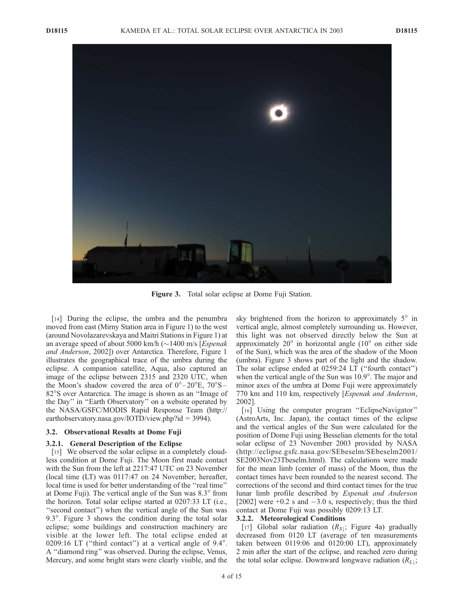

Figure 3. Total solar eclipse at Dome Fuji Station.

[14] During the eclipse, the umbra and the penumbra moved from east (Mirny Station area in Figure 1) to the west (around Novolazarevskaya and Maitri Stations in Figure 1) at an average speed of about 5000 km/h  $(\sim]$  1400 m/s [*Espenak*] and Anderson, 2002]) over Antarctica. Therefore, Figure 1 illustrates the geographical trace of the umbra during the eclipse. A companion satellite, Aqua, also captured an image of the eclipse between 2315 and 2320 UTC, when the Moon's shadow covered the area of  $0^{\circ}$ –20 $^{\circ}$ E,  $70^{\circ}$ S– 82<sup>o</sup>S over Antarctica. The image is shown as an "Image of the Day'' in ''Earth Observatory'' on a website operated by the NASA/GSFC/MODIS Rapid Response Team (http:// earthobservatory.nasa.gov/IOTD/view.php?id = 3994).

## 3.2. Observational Results at Dome Fuji

## 3.2.1. General Description of the Eclipse

[15] We observed the solar eclipse in a completely cloudless condition at Dome Fuji. The Moon first made contact with the Sun from the left at 2217:47 UTC on 23 November (local time (LT) was 0117:47 on 24 November; hereafter, local time is used for better understanding of the "real time" at Dome Fuji). The vertical angle of the Sun was  $8.3^\circ$  from the horizon. Total solar eclipse started at 0207:33 LT (i.e., "second contact") when the vertical angle of the Sun was 9.3 $^{\circ}$ . Figure 3 shows the condition during the total solar eclipse; some buildings and construction machinery are visible at the lower left. The total eclipse ended at 0209:16 LT ("third contact") at a vertical angle of  $9.4^{\circ}$ . A ''diamond ring'' was observed. During the eclipse, Venus, Mercury, and some bright stars were clearly visible, and the

sky brightened from the horizon to approximately  $5^\circ$  in vertical angle, almost completely surrounding us. However, this light was not observed directly below the Sun at approximately  $20^{\circ}$  in horizontal angle ( $10^{\circ}$  on either side of the Sun), which was the area of the shadow of the Moon (umbra). Figure 3 shows part of the light and the shadow. The solar eclipse ended at 0259:24 LT (''fourth contact'') when the vertical angle of the Sun was  $10.9^\circ$ . The major and minor axes of the umbra at Dome Fuji were approximately 770 km and 110 km, respectively [Espenak and Anderson, 2002].

[16] Using the computer program "EclipseNavigator" (AstroArts, Inc. Japan), the contact times of the eclipse and the vertical angles of the Sun were calculated for the position of Dome Fuji using Besselian elements for the total solar eclipse of 23 November 2003 provided by NASA (http://eclipse.gsfc.nasa.gov/SEbeselm/SEbeselm2001/ SE2003Nov23Tbeselm.html). The calculations were made for the mean limb (center of mass) of the Moon, thus the contact times have been rounded to the nearest second. The corrections of the second and third contact times for the true lunar limb profile described by Espenak and Anderson [2002] were  $+0.2$  s and  $-3.0$  s, respectively; thus the third contact at Dome Fuji was possibly 0209:13 LT.

## 3.2.2. Meteorological Conditions

[17] Global solar radiation  $(R<sub>S</sub>)$ ; Figure 4a) gradually decreased from 0120 LT (average of ten measurements taken between 0119:06 and 0120:00 LT), approximately 2 min after the start of the eclipse, and reached zero during the total solar eclipse. Downward longwave radiation  $(R_{L\downarrow};$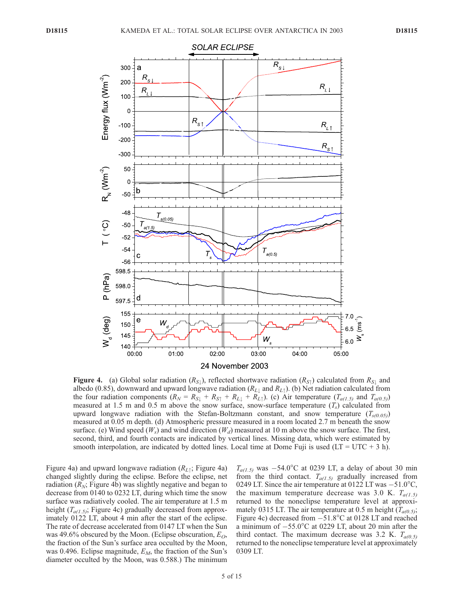

**Figure 4.** (a) Global solar radiation ( $R_{S_1}$ ), reflected shortwave radiation ( $R_{S_1}$ ) calculated from  $R_{S_1}$  and albedo (0.85), downward and upward longwave radiation ( $R_{L\perp}$  and  $R_{L\uparrow}$ ). (b) Net radiation calculated from the four radiation components  $(R_N = R_{S\downarrow} + R_{S\uparrow} + R_{L\downarrow} + R_{L\uparrow})$ . (c) Air temperature  $(T_{a(1.5)}$  and  $T_{a(0.5)}$ measured at 1.5 m and 0.5 m above the snow surface, snow-surface temperature  $(T_s)$  calculated from upward longwave radiation with the Stefan-Boltzmann constant, and snow temperature  $(T_{s(0,05)})$ measured at 0.05 m depth. (d) Atmospheric pressure measured in a room located 2.7 m beneath the snow surface. (e) Wind speed ( $W_s$ ) and wind direction ( $W_d$ ) measured at 10 m above the snow surface. The first, second, third, and fourth contacts are indicated by vertical lines. Missing data, which were estimated by smooth interpolation, are indicated by dotted lines. Local time at Dome Fuji is used ( $LT = UTC + 3$  h).

Figure 4a) and upward longwave radiation  $(R_{L\uparrow})$ ; Figure 4a) changed slightly during the eclipse. Before the eclipse, net radiation ( $R_N$ ; Figure 4b) was slightly negative and began to decrease from 0140 to 0232 LT, during which time the snow surface was radiatively cooled. The air temperature at 1.5 m height  $(T_{a(1.5)})$ ; Figure 4c) gradually decreased from approximately 0122 LT, about 4 min after the start of the eclipse. The rate of decrease accelerated from 0147 LT when the Sun was 49.6% obscured by the Moon. (Eclipse obscuration,  $E_O$ , the fraction of the Sun's surface area occulted by the Moon, was 0.496. Eclipse magnitude,  $E_M$ , the fraction of the Sun's diameter occulted by the Moon, was 0.588.) The minimum

 $T_{a(1.5)}$  was  $-54.0^{\circ}$ C at 0239 LT, a delay of about 30 min from the third contact.  $T_{a(1.5)}$  gradually increased from 0249 LT. Since the air temperature at 0122 LT was  $-51.0^{\circ}$ C, the maximum temperature decrease was 3.0 K.  $T_{a(1,5)}$ returned to the noneclipse temperature level at approximately 0315 LT. The air temperature at 0.5 m height  $(T_{a(0.5)})$ ; Figure 4c) decreased from  $-51.8^{\circ}$ C at 0128 LT and reached a minimum of  $-55.0^{\circ}$ C at 0229 LT, about 20 min after the third contact. The maximum decrease was 3.2 K.  $T_{a(0.5)}$ returned to the noneclipse temperature level at approximately 0309 LT.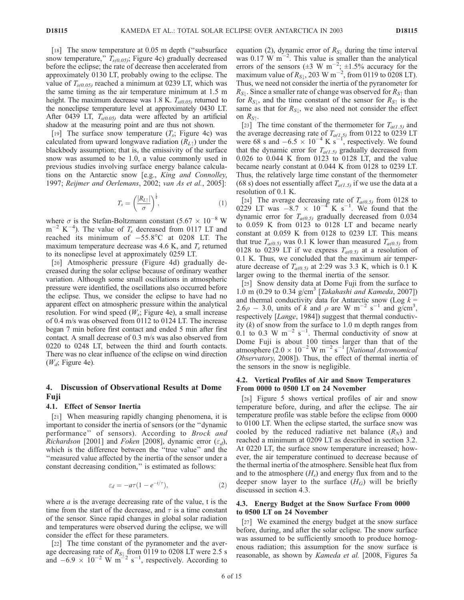[18] The snow temperature at 0.05 m depth ("subsurface" snow temperature,"  $T_{s(0.05)}$ ; Figure 4c) gradually decreased before the eclipse; the rate of decrease then accelerated from approximately 0130 LT, probably owing to the eclipse. The value of  $T_{s(0.05)}$  reached a minimum at 0239 LT, which was the same timing as the air temperature minimum at 1.5 m height. The maximum decrease was 1.8 K.  $T_{s(0.05)}$  returned to the noneclipse temperature level at approximately 0430 LT. After 0439 LT,  $T_{s(0.05)}$  data were affected by an artificial shadow at the measuring point and are thus not shown.

[19] The surface snow temperature  $(T_s;$  Figure 4c) was calculated from upward longwave radiation  $(R_{L\uparrow})$  under the blackbody assumption; that is, the emissivity of the surface snow was assumed to be 1.0, a value commonly used in previous studies involving surface energy balance calculations on the Antarctic snow [e.g., King and Connolley, 1997; Reijmer and Oerlemans, 2002; van As et al., 2005]:

$$
T_s = \left(\frac{|R_{L\uparrow}|}{\sigma}\right)^{\frac{1}{4}},\tag{1}
$$

where  $\sigma$  is the Stefan-Boltzmann constant (5.67  $\times$  10<sup>-8</sup> W  $m^{-2}$  K<sup>-4</sup>). The value of  $T_s$  decreased from 0117 LT and reached its minimum of  $-55.8^{\circ}$ C at 0208 LT. The maximum temperature decrease was 4.6 K, and  $T_s$  returned to its noneclipse level at approximately 0259 LT.

[20] Atmospheric pressure (Figure 4d) gradually decreased during the solar eclipse because of ordinary weather variation. Although some small oscillations in atmospheric pressure were identified, the oscillations also occurred before the eclipse. Thus, we consider the eclipse to have had no apparent effect on atmospheric pressure within the analytical resolution. For wind speed  $(W_s;$  Figure 4e), a small increase of 0.4 m/s was observed from 0112 to 0124 LT. The increase began 7 min before first contact and ended 5 min after first contact. A small decrease of 0.3 m/s was also observed from 0220 to 0248 LT, between the third and fourth contacts. There was no clear influence of the eclipse on wind direction  $(W_d;$  Figure 4e).

# 4. Discussion of Observational Results at Dome Fuji

#### 4.1. Effect of Sensor Inertia

[21] When measuring rapidly changing phenomena, it is important to consider the inertia of sensors (or the ''dynamic performance" of sensors). According to Brock and *Richardson* [2001] and *Foken* [2008], dynamic error  $(\varepsilon_d)$ , which is the difference between the ''true value'' and the ''measured value affected by the inertia of the sensor under a constant decreasing condition," is estimated as follows:

$$
\varepsilon_d = -a\tau (1 - e^{-t/\tau}),\tag{2}
$$

where  $\alpha$  is the average decreasing rate of the value, t is the time from the start of the decrease, and  $\tau$  is a time constant of the sensor. Since rapid changes in global solar radiation and temperatures were observed during the eclipse, we will consider the effect for these parameters.

[22] The time constant of the pyranometer and the average decreasing rate of  $R_{S\downarrow}$  from 0119 to 0208 LT were 2.5 s and  $-6.9 \times 10^{-2}$  W m<sup>22</sup> s<sup>-1</sup>, respectively. According to

equation (2), dynamic error of  $R_{S\perp}$  during the time interval was 0.17  $\overset{\sim}{W}$  m<sup>-2</sup>. This value is smaller than the analytical errors of the sensors  $(\pm 3 \text{ W m}^{-2}; \pm 1.5\%$  accuracy for the maximum value of  $R_{S\downarrow}$ , 203 W m<sup>-2</sup>, from 0119 to 0208 LT). Thus, we need not consider the inertia of the pyranometer for  $R_{S}$ . Since a smaller rate of change was observed for  $R_{S}$  than for  $R_{S\downarrow}$ , and the time constant of the sensor for  $R_{S\uparrow}$  is the same as that for  $R_{S\downarrow}$ , we also need not consider the effect on  $R_{S\uparrow}$ .

[23] The time constant of the thermometer for  $T_{a(1.5)}$  and the average decreasing rate of  $T_{a(1,5)}$  from 0122 to 0239 LT were 68 s and  $-6.5 \times 10^{-4}$  K s<sup>-1</sup>, respectively. We found that the dynamic error for  $T_{a(1.5)}$  gradually decreased from 0.026 to 0.044 K from 0123 to 0128 LT, and the value became nearly constant at 0.044 K from 0128 to 0239 LT. Thus, the relatively large time constant of the thermometer (68 s) does not essentially affect  $T_{a(1,5)}$  if we use the data at a resolution of 0.1 K.

[24] The average decreasing rate of  $T_{a(0.5)}$  from 0128 to 0229 LT was  $-8.7 \times 10^{-4}$  K s<sup>-1</sup>. We found that the dynamic error for  $T_{a(0,5)}$  gradually decreased from 0.034 to 0.059 K from 0123 to 0128 LT and became nearly constant at 0.059 K from 0128 to 0239 LT. This means that true  $T_{a(0.5)}$  was 0.1 K lower than measured  $T_{a(0.5)}$  from 0128 to 0239 LT if we express  $T_{a(0.5)}$  at a resolution of 0.1 K. Thus, we concluded that the maximum air temperature decrease of  $T_{a(0,5)}$  at 2:29 was 3.3 K, which is 0.1 K larger owing to the thermal inertia of the sensor.

[25] Snow density data at Dome Fuji from the surface to 1.0 m (0.29 to 0.34  $g/cm^3$  [*Takahashi and Kameda*, 2007]) and thermal conductivity data for Antarctic snow (Log  $k =$ 2.6 $\rho$  – 3.0, units of k and  $\rho$  are W m<sup>-2</sup> s<sup>-1</sup> and g/cm<sup>3</sup>, respectively [Lange, 1984]) suggest that thermal conductivity  $(k)$  of snow from the surface to 1.0 m depth ranges from 0.1 to 0.3 W  $\text{m}^{-2}$  s<sup>-1</sup>. Thermal conductivity of snow at Dome Fuji is about 100 times larger than that of the atmosphere  $(2.0 \times 10^{-2} \text{ W m}^{-2} \text{ s}^{-1}$  [National Astronomical Observatory, 2008]). Thus, the effect of thermal inertia of the sensors in the snow is negligible.

## 4.2. Vertical Profiles of Air and Snow Temperatures From 0000 to 0500 LT on 24 November

[26] Figure 5 shows vertical profiles of air and snow temperature before, during, and after the eclipse. The air temperature profile was stable before the eclipse from 0000 to 0100 LT. When the eclipse started, the surface snow was cooled by the reduced radiative net balance  $(R_N)$  and reached a minimum at 0209 LT as described in section 3.2. At 0220 LT, the surface snow temperature increased; however, the air temperature continued to decrease because of the thermal inertia of the atmosphere. Sensible heat flux from and to the atmosphere  $(H_s)$  and energy flux from and to the deeper snow layer to the surface  $(H_G)$  will be briefly discussed in section 4.3.

## 4.3. Energy Budget at the Snow Surface From 0000 to 0500 LT on 24 November

[27] We examined the energy budget at the snow surface before, during, and after the solar eclipse. The snow surface was assumed to be sufficiently smooth to produce homogenous radiation; this assumption for the snow surface is reasonable, as shown by Kameda et al. [2008, Figures 5a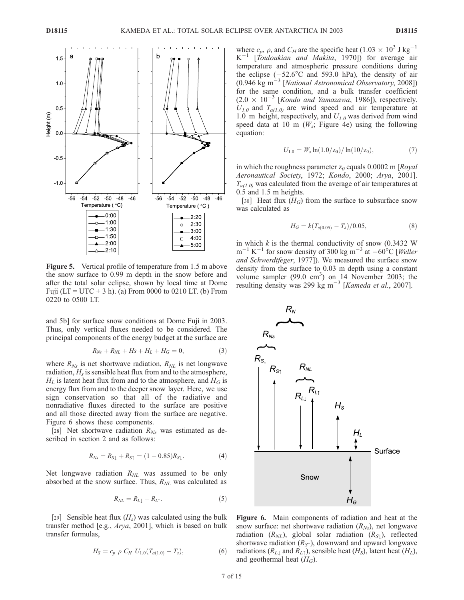

Figure 5. Vertical profile of temperature from 1.5 m above the snow surface to 0.99 m depth in the snow before and after the total solar eclipse, shown by local time at Dome Fuji ( $LT = UTC + 3 h$ ). (a) From 0000 to 0210 LT. (b) From 0220 to 0500 LT.

and 5b] for surface snow conditions at Dome Fuji in 2003. Thus, only vertical fluxes needed to be considered. The principal components of the energy budget at the surface are

$$
R_{Ns} + R_{NL} + Hs + H_L + H_G = 0,\t\t(3)
$$

where  $R_{Ns}$  is net shortwave radiation,  $R_{NL}$  is net longwave radiation,  $H_s$  is sensible heat flux from and to the atmosphere,  $H_L$  is latent heat flux from and to the atmosphere, and  $H_G$  is energy flux from and to the deeper snow layer. Here, we use sign conservation so that all of the radiative and nonradiative fluxes directed to the surface are positive and all those directed away from the surface are negative. Figure 6 shows these components.

[28] Net shortwave radiation  $R_{Ns}$  was estimated as described in section 2 and as follows:

$$
R_{Ns} = R_{S\downarrow} + R_{S\uparrow} = (1 - 0.85)R_{S\downarrow}.
$$
 (4)

Net longwave radiation  $R_{NL}$  was assumed to be only absorbed at the snow surface. Thus,  $R_{NL}$  was calculated as

$$
R_{NL} = R_{L\downarrow} + R_{L\uparrow}.
$$
\n<sup>(5)</sup>

[29] Sensible heat flux  $(H_s)$  was calculated using the bulk transfer method [e.g., Arya, 2001], which is based on bulk transfer formulas,

$$
H_S = c_p \, \rho \, C_H \, U_{1.0}(T_{a(1.0)} - T_s), \tag{6}
$$

where  $c_p$ ,  $\rho$ , and  $C_H$  are the specific heat (1.03  $\times$  10<sup>3</sup> J kg<sup>-1</sup>  $K^{-1}$  [Touloukian and Makita, 1970]) for average air temperature and atmospheric pressure conditions during the eclipse  $(-52.6^{\circ}$ C and 593.0 hPa), the density of air (0.946 kg m<sup> $-3$ </sup> [*National Astronomical Observatory*, 2008]) for the same condition, and a bulk transfer coefficient  $(2.0 \times 10^{-3}$  [Kondo and Yamazawa, 1986]), respectively.  $U_{1,0}$  and  $T_{a(1,0)}$  are wind speed and air temperature at 1.0 m height, respectively, and  $U_{1.0}$  was derived from wind speed data at 10 m  $(W_s;$  Figure 4e) using the following equation:

$$
U_{1.0} = W_s \ln(1.0/\text{z}_0) / \ln(10/\text{z}_0), \tag{7}
$$

in which the roughness parameter  $z_0$  equals 0.0002 m [Royal] Aeronautical Society, 1972; Kondo, 2000; Arya, 2001].  $T_{a(1,0)}$  was calculated from the average of air temperatures at 0.5 and 1.5 m heights.

[30] Heat flux  $(H_G)$  from the surface to subsurface snow was calculated as

$$
H_G = k(T_{s(0.05)} - T_s)/0.05, \tag{8}
$$

in which  $k$  is the thermal conductivity of snow (0.3432 W)  $m^{-1} K^{-1}$  for snow density of 300 kg  $m^{-3}$  at  $-60^{\circ}$ C [Weller and Schwerdtfeger, 1977]). We measured the surface snow density from the surface to 0.03 m depth using a constant volume sampler  $(99.0 \text{ cm}^3)$  on 14 November 2003; the resulting density was 299 kg m<sup>-3</sup> [Kameda et al., 2007].



Figure 6. Main components of radiation and heat at the snow surface: net shortwave radiation  $(R_{Ns})$ , net longwave radiation  $(R_{NL})$ , global solar radiation  $(R_{S})$ , reflected shortwave radiation  $(R_{S\uparrow})$ , downward and upward longwave radiations ( $R_{L\perp}$  and  $R_{L\uparrow}$ ), sensible heat (H<sub>S</sub>), latent heat (H<sub>L</sub>), and geothermal heat  $(H_G)$ .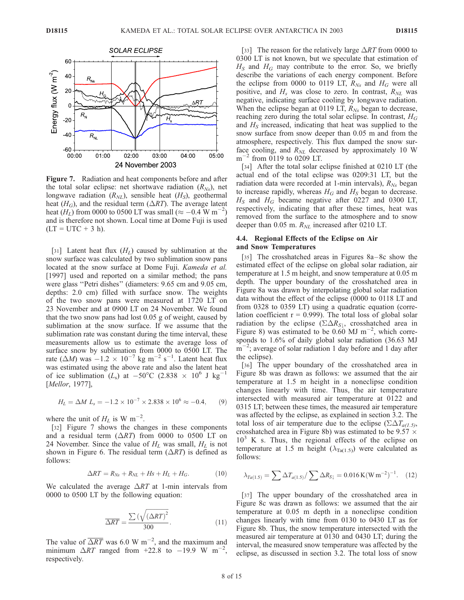

Figure 7. Radiation and heat components before and after the total solar eclipse: net shortwave radiation  $(R_{Ns})$ , net longwave radiation  $(R_{NL})$ , sensible heat  $(H_S)$ , geothermal heat ( $H_G$ ), and the residual term ( $\Delta RT$ ). The average latent heat  $(H_L)$  from 0000 to 0500 LT was small ( $\approx -0.4$  W m<sup>-2</sup>) and is therefore not shown. Local time at Dome Fuji is used  $(LT = UTC + 3 h).$ 

[31] Latent heat flux  $(H_L)$  caused by sublimation at the snow surface was calculated by two sublimation snow pans located at the snow surface at Dome Fuji. *Kameda et al.* [1997] used and reported on a similar method; the pans were glass ''Petri dishes'' (diameters: 9.65 cm and 9.05 cm, depths: 2.0 cm) filled with surface snow. The weights of the two snow pans were measured at 1720 LT on 23 November and at 0900 LT on 24 November. We found that the two snow pans had lost 0.05 g of weight, caused by sublimation at the snow surface. If we assume that the sublimation rate was constant during the time interval, these measurements allow us to estimate the average loss of surface snow by sublimation from 0000 to 0500 LT. The rate ( $\Delta M$ ) was  $-1.2 \times 10^{-7}$  kg m<sup>-2</sup> s<sup>-1</sup>. Latent heat flux was estimated using the above rate and also the latent heat of ice sublimation (L<sub>s</sub>) at  $-50^{\circ}$ C (2.838  $\times$  10<sup>6</sup> J kg<sup>-1</sup> [*Mellor*, 1977],

$$
H_L = \Delta M L_s = -1.2 \times 10^{-7} \times 2.838 \times 10^6 \approx -0.4, \qquad (9)
$$

where the unit of  $H_L$  is W m<sup>-2</sup>.

[32] Figure 7 shows the changes in these components and a residual term  $(\Delta RT)$  from 0000 to 0500 LT on 24 November. Since the value of  $H_L$  was small,  $H_L$  is not shown in Figure 6. The residual term  $(\Delta RT)$  is defined as follows:

$$
\Delta RT = R_{Ns} + R_{NL} + Hs + H_L + H_G. \tag{10}
$$

We calculated the average  $\Delta RT$  at 1-min intervals from 0000 to 0500 LT by the following equation:

$$
\overline{\Delta RT} = \frac{\sum \left(\sqrt{\left(\Delta RT\right)^2}\right)}{300}.\tag{11}
$$

The value of  $\overline{\Delta RT}$  was 6.0 W m<sup>-2</sup>, and the maximum and minimum  $\triangle RT$  ranged from +22.8 to -19.9 W m<sup>-</sup> , respectively.

[33] The reason for the relatively large  $\triangle RT$  from 0000 to 0300 LT is not known, but we speculate that estimation of  $H<sub>S</sub>$  and  $H<sub>G</sub>$  may contribute to the error. So, we briefly describe the variations of each energy component. Before the eclipse from 0000 to 0119 LT,  $R_{Ns}$  and  $H_G$  were all positive, and  $H_s$  was close to zero. In contrast,  $R_{NL}$  was negative, indicating surface cooling by longwave radiation. When the eclipse began at 0119 LT,  $R_{Ns}$  began to decrease, reaching zero during the total solar eclipse. In contrast,  $H_G$ and  $H<sub>S</sub>$  increased, indicating that heat was supplied to the snow surface from snow deeper than 0.05 m and from the atmosphere, respectively. This flux damped the snow surface cooling, and  $R_{NL}$  decreased by approximately 10 W  $m^{-2}$  from 0119 to 0209 LT.

[34] After the total solar eclipse finished at 0210 LT (the actual end of the total eclipse was 0209:31 LT, but the radiation data were recorded at 1-min intervals),  $R_{Ns}$  began to increase rapidly, whereas  $H_G$  and  $H_S$  began to decrease.  $H<sub>S</sub>$  and  $H<sub>G</sub>$  became negative after 0227 and 0300 LT, respectively, indicating that after these times, heat was removed from the surface to the atmosphere and to snow deeper than 0.05 m.  $R_{NL}$  increased after 0210 LT.

## 4.4. Regional Effects of the Eclipse on Air and Snow Temperatures

[35] The crosshatched areas in Figures 8a–8c show the estimated effect of the eclipse on global solar radiation, air temperature at 1.5 m height, and snow temperature at 0.05 m depth. The upper boundary of the crosshatched area in Figure 8a was drawn by interpolating global solar radiation data without the effect of the eclipse (0000 to 0118 LT and from 0328 to 0359 LT) using a quadratic equation (correlation coefficient  $r = 0.999$ ). The total loss of global solar radiation by the eclipse  $(\Sigma \Delta R_{S\downarrow})$ , crosshatched area in Figure 8) was estimated to be 0.60 MJ  $\text{m}^{-2}$ , which corresponds to 1.6% of daily global solar radiation (36.63 MJ  $m^{-2}$ ; average of solar radiation 1 day before and 1 day after the eclipse).

[36] The upper boundary of the crosshatched area in Figure 8b was drawn as follows: we assumed that the air temperature at 1.5 m height in a noneclipse condition changes linearly with time. Thus, the air temperature intersected with measured air temperature at 0122 and 0315 LT; between these times, the measured air temperature was affected by the eclipse, as explained in section 3.2. The total loss of air temperature due to the eclipse  $(\Sigma \Delta T_{a(1,5)},$ crosshatched area in Figure 8b) was estimated to be 9.57  $\times$  $10<sup>3</sup>$  K s. Thus, the regional effects of the eclipse on temperature at 1.5 m height ( $\lambda_{Ta(1.5)}$ ) were calculated as follows:

$$
\lambda_{Ta(1.5)} = \sum \Delta T_{a(1.5)} / \sum \Delta R_{S\downarrow} = 0.016 \,\text{K}(\text{W m}^{-2})^{-1}.\tag{12}
$$

[37] The upper boundary of the crosshatched area in Figure 8c was drawn as follows: we assumed that the air temperature at 0.05 m depth in a noneclipse condition changes linearly with time from 0130 to 0430 LT as for Figure 8b. Thus, the snow temperature intersected with the measured air temperature at 0130 and 0430 LT; during the interval, the measured snow temperature was affected by the eclipse, as discussed in section 3.2. The total loss of snow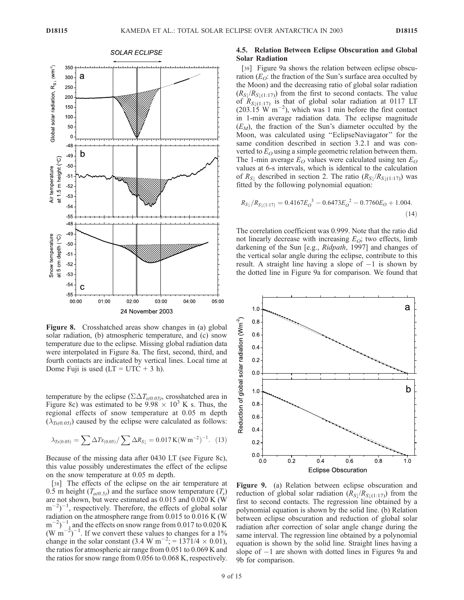

Figure 8. Crosshatched areas show changes in (a) global solar radiation, (b) atmospheric temperature, and (c) snow temperature due to the eclipse. Missing global radiation data were interpolated in Figure 8a. The first, second, third, and fourth contacts are indicated by vertical lines. Local time at Dome Fuji is used  $(LT = UTC + 3 h)$ .

temperature by the eclipse ( $\Sigma \Delta T_{s(0.05)}$ , crosshatched area in Figure 8c) was estimated to be  $9.98 \times 10^3$  K s. Thus, the regional effects of snow temperature at 0.05 m depth  $(\lambda_{Ts(0.05)})$  caused by the eclipse were calculated as follows:

$$
\lambda_{Ts(0.05)} = \sum \Delta T s_{(0.05)} / \sum \Delta R_{S\downarrow} = 0.017 \,\text{K}(\text{W}\,\text{m}^{-2})^{-1}.\tag{13}
$$

Because of the missing data after 0430 LT (see Figure 8c), this value possibly underestimates the effect of the eclipse on the snow temperature at 0.05 m depth.

[38] The effects of the eclipse on the air temperature at 0.5 m height  $(T_{a(0.5)})$  and the surface snow temperature  $(T_s)$ are not shown, but were estimated as 0.015 and 0.020 K (W  $(m^{-2})^{-1}$ , respectively. Therefore, the effects of global solar radiation on the atmosphere range from 0.015 to 0.016 K (W  $(m^{-2})^{-1}$ , and the effects on snow range from 0.017 to 0.020 K  $(W \text{ m}^{-2})^{-1}$ . If we convert these values to changes for a 1% change in the solar constant  $(3.4 \text{ W m}^{-2}) = 1371/4 \times 0.01$ , the ratios for atmospheric air range from 0.051 to 0.069 K and the ratios for snow range from 0.056 to 0.068 K, respectively.

# 4.5. Relation Between Eclipse Obscuration and Global Solar Radiation

[39] Figure 9a shows the relation between eclipse obscuration ( $E_O$ : the fraction of the Sun's surface area occulted by the Moon) and the decreasing ratio of global solar radiation  $(R_{S}/R_{S/(1:17)})$  from the first to second contacts. The value of  $R_{S\downarrow(1:17)}$  is that of global solar radiation at 0117 LT  $(203.15 \text{ W m}^{-2})$ , which was 1 min before the first contact in 1-min average radiation data. The eclipse magnitude  $(E_M)$ , the fraction of the Sun's diameter occulted by the Moon, was calculated using ''EclipseNaviagator'' for the same condition described in section 3.2.1 and was converted to  $E<sub>O</sub>$  using a simple geometric relation between them. The 1-min average  $E_O$  values were calculated using ten  $E_O$ values at 6-s intervals, which is identical to the calculation of  $R_{S\downarrow}$  described in section 2. The ratio  $(R_{S\downarrow}/R_{S\downarrow(1:17)})$  was fitted by the following polynomial equation:

$$
R_{S\downarrow}/R_{S\downarrow(1:17)} = 0.4167E_0^3 - 0.6473E_0^2 - 0.7760E_0 + 1.004.
$$
\n(14)

The correlation coefficient was 0.999. Note that the ratio did not linearly decrease with increasing  $E_O$ ; two effects, limb darkening of the Sun [e.g., Ridpath, 1997] and changes of the vertical solar angle during the eclipse, contribute to this result. A straight line having a slope of  $-1$  is shown by the dotted line in Figure 9a for comparison. We found that



Figure 9. (a) Relation between eclipse obscuration and reduction of global solar radiation  $(R_{S}/R_{S/(1:17)})$  from the first to second contacts. The regression line obtained by a polynomial equation is shown by the solid line. (b) Relation between eclipse obscuration and reduction of global solar radiation after correction of solar angle change during the same interval. The regression line obtained by a polynomial equation is shown by the solid line. Straight lines having a slope of  $-1$  are shown with dotted lines in Figures 9a and 9b for comparison.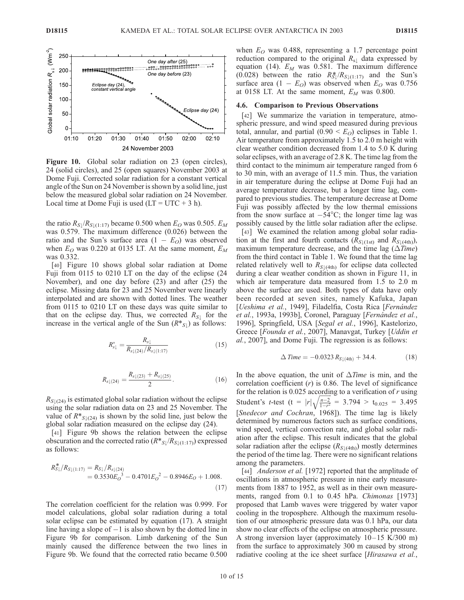

Figure 10. Global solar radiation on 23 (open circles), 24 (solid circles), and 25 (open squares) November 2003 at Dome Fuji. Corrected solar radiation for a constant vertical angle of the Sun on 24 November is shown by a solid line, just below the measured global solar radiation on 24 November. Local time at Dome Fuji is used  $(LT = UTC + 3 h)$ .

the ratio  $R_{S\downarrow}/R_{S\downarrow(1:17)}$  became 0.500 when  $E_O$  was 0.505.  $E_M$ was 0.579. The maximum difference (0.026) between the ratio and the Sun's surface area  $(1 - E<sub>O</sub>)$  was observed when  $E_O$  was 0.220 at 0135 LT. At the same moment,  $E_M$ was 0.332.

[40] Figure 10 shows global solar radiation at Dome Fuji from 0115 to 0210 LT on the day of the eclipse (24 November), and one day before (23) and after (25) the eclipse. Missing data for 23 and 25 November were linearly interpolated and are shown with dotted lines. The weather from 0115 to 0210 LT on these days was quite similar to that on the eclipse day. Thus, we corrected  $R_{S\downarrow}$  for the increase in the vertical angle of the Sun  $(R^*_{S\downarrow})$  as follows:

$$
R_{s\downarrow}^* = \frac{R_{s\downarrow}}{R_{s\downarrow(24)}/R_{s\downarrow(1:17)}}\tag{15}
$$

$$
R_{s\downarrow(24)} = \frac{R_{s\downarrow(23)} + R_{s\downarrow(25)}}{2}.
$$
 (16)

 $R_{S\perp(24)}$  is estimated global solar radiation without the eclipse using the solar radiation data on 23 and 25 November. The value of  $R^*_{S\downarrow(24)}$  is shown by the solid line, just below the global solar radiation measured on the eclipse day (24).

[41] Figure 9b shows the relation between the eclipse obscuration and the corrected ratio  $(R \cdot s \mid /R_{S \downarrow (1:17)})$  expressed as follows:

$$
R_{S\downarrow}^{*}/R_{S\downarrow(1:17)} = R_{S\downarrow}/R_{s\downarrow(24)} = 0.3530E_0^{3} - 0.4701E_0^{2} - 0.8946E_0 + 1.008.
$$
\n(17)

The correlation coefficient for the relation was 0.999. For model calculations, global solar radiation during a total solar eclipse can be estimated by equation (17). A straight line having a slope of  $-1$  is also shown by the dotted line in Figure 9b for comparison. Limb darkening of the Sun mainly caused the difference between the two lines in Figure 9b. We found that the corrected ratio became 0.500 when  $E_O$  was 0.488, representing a 1.7 percentage point reduction compared to the original  $R_{s\perp}$  data expressed by equation (14).  $E_M$  was 0.581. The maximum difference (0.028) between the ratio  $R_{\text{S}\downarrow}^{*}/R_{\text{S}\downarrow(1:17)}$  and the Sun's surface area  $(1 - E_O)$  was observed when  $E_O$  was 0.756 at 0158 LT. At the same moment,  $E_M$  was 0.800.

#### 4.6. Comparison to Previous Observations

[42] We summarize the variation in temperature, atmospheric pressure, and wind speed measured during previous total, annular, and partial  $(0.90 \le E_O)$  eclipses in Table 1. Air temperature from approximately 1.5 to 2.0 m height with clear weather condition decreased from 1.4 to 5.0 K during solar eclipses, with an average of 2.8 K. The time lag from the third contact to the minimum air temperature ranged from 6 to 30 min, with an average of 11.5 min. Thus, the variation in air temperature during the eclipse at Dome Fuji had an average temperature decrease, but a longer time lag, compared to previous studies. The temperature decrease at Dome Fuji was possibly affected by the low thermal emissions from the snow surface at  $-54^{\circ}$ C; the longer time lag was possibly caused by the little solar radiation after the eclipse.

[43] We examined the relation among global solar radiation at the first and fourth contacts  $(R_{S\downarrow(1st)}$  and  $R_{S\downarrow(4th)}$ ), maximum temperature decrease, and the time lag  $(\Delta Time)$ from the third contact in Table 1. We found that the time lag related relatively well to  $R_{S\downarrow(4th)}$  for eclipse data collected during a clear weather condition as shown in Figure 11, in which air temperature data measured from 1.5 to 2.0 m above the surface are used. Both types of data have only been recorded at seven sites, namely Kafuka, Japan [Ueshima et al., 1949], Filadelfia, Costa Rica [Fernández et al., 1993a, 1993b], Coronel, Paraguay [Fernández et al., 1996], Springfield, USA [Segal et al., 1996], Kastelorizo, Greece [Founda et al., 2007], Manavgat, Turkey [Uddin et al., 2007], and Dome Fuji. The regression is as follows:

$$
\Delta \text{ Time} = -0.0323 \, R_{S\downarrow (4\text{th})} + 34.4. \tag{18}
$$

In the above equation, the unit of  $\Delta Time$  is min, and the correlation coefficient  $(r)$  is 0.86. The level of significance for the relation is 0.025 according to a verification of r using Student's *t*-test (t =  $|r| \sqrt{\frac{n-2}{1-r^2}} = 3.794 > t_{0.025} = 3.495$ [Snedecor and Cochran, 1968]). The time lag is likely determined by numerous factors such as surface conditions, wind speed, vertical convection rate, and global solar radiation after the eclipse. This result indicates that the global solar radiation after the eclipse  $(R_{S \downarrow (4th)})$  mostly determines the period of the time lag. There were no significant relations among the parameters.

[44] *Anderson et al.* [1972] reported that the amplitude of oscillations in atmospheric pressure in nine early measurements from 1887 to 1952, as well as in their own measurements, ranged from 0.1 to 0.45 hPa. Chimonas [1973] proposed that Lamb waves were triggered by water vapor cooling in the troposphere. Although the maximum resolution of our atmospheric pressure data was 0.1 hPa, our data show no clear effects of the eclipse on atmospheric pressure. A strong inversion layer (approximately  $10-15$  K/300 m) from the surface to approximately 300 m caused by strong radiative cooling at the ice sheet surface [Hirasawa et al.,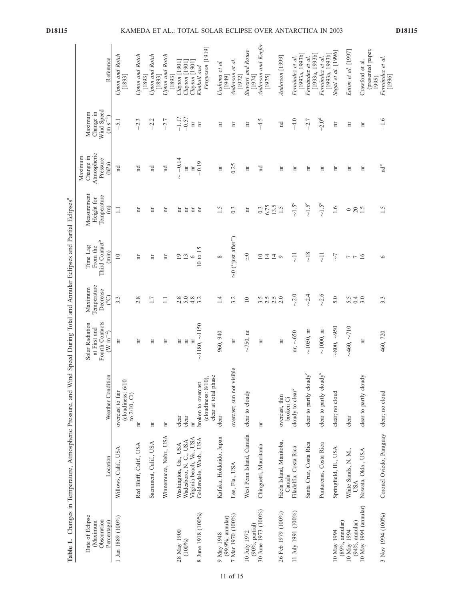| Table 1.                                                  | Changes in Temperature, Atmospheric Pressure, and Wind Speed During Total and Annular Eclipses and Partial Eclipses <sup>a</sup> |                                                      |                                                                           |                                                             |                                                                |                                                             |                                                          |                                                    |                                                   |
|-----------------------------------------------------------|----------------------------------------------------------------------------------------------------------------------------------|------------------------------------------------------|---------------------------------------------------------------------------|-------------------------------------------------------------|----------------------------------------------------------------|-------------------------------------------------------------|----------------------------------------------------------|----------------------------------------------------|---------------------------------------------------|
| Date of Eclipse<br>Obscuration<br>(Maximum<br>Percentage) | Location                                                                                                                         | Weather Condition                                    | Fourth Contacts<br>Solar Radiation<br>at First and<br>$(\text{W m}^{-2})$ | Temperature<br>Maximum<br>Decrease<br>$\mathcal{C}^{\circ}$ | Third Contact <sup>b</sup><br>From the<br>Time Lag<br>$(\min)$ | Measurement<br>Temperature<br>Height for<br>$\widehat{\Xi}$ | Atmospheric<br>Change in<br>Maximum<br>Pressure<br>(hPa) | Wind Speed<br>Change in<br>Maximum<br>$(m s^{-1})$ | Reference                                         |
| 1 Jan 1889 (100%)                                         | Willows, Calif., USA                                                                                                             | (cloudiness: 6/10<br>overcast to fair                | Ħ                                                                         | 3.3                                                         | $\overline{10}$                                                | $\Box$                                                      | Ĕ                                                        | 5.1                                                | Upton and Rotch<br>[1893]                         |
|                                                           | Red Bluff, Calif., USA                                                                                                           | to 2/10, Ci)<br>Ħ                                    | Ħ                                                                         | 2.8                                                         | Ħ                                                              | Ħ                                                           | Ĕ                                                        | 2.3                                                | Upton and Rotch                                   |
|                                                           | Sacrament, Calif., USA                                                                                                           | Ħ                                                    | 'n                                                                        | 1.7                                                         | Ħ                                                              | Ħ                                                           | $_{\rm nd}$                                              | $-2.2$                                             | Upton and Rotch<br>[1893]                         |
|                                                           | Winnemucca, Nebr., USA                                                                                                           | Ħ                                                    | Ħ                                                                         | $\Box$                                                      | Ħ                                                              | Ħ                                                           | $_{\rm nd}$                                              | $-2.7$                                             | Upton and Rotch<br>[1893]                         |
| 28 May 1900<br>(100%)                                     | Washington, Ga., USA<br>Wadesboro, N. C., USA                                                                                    | clear<br>clear                                       | 'n<br>$\rm H$                                                             | 5.0<br>2.8                                                  | $^{19}$<br>$\frac{3}{6}$                                       | Ħ<br>旨                                                      | $-0.14$<br>$\mathbb H$<br>$\overline{\mathcal{C}}$       | $-1.1?$<br>$-0.5?$                                 | $Clayton$ [1901]<br>$Clayton$ $[1901]$<br>[1893]  |
| 8 June 1918 (100%)                                        | Virginia beach, Va., USA<br>Goldendale, Wash., USA                                                                               | broken to overcast<br>hr                             | $\sim$ 1180, $\sim$ 1150<br>$\rm _{H}$                                    | 4.8                                                         | $10 \text{ to } 15$                                            | $\overline{\mathbf{H}}$<br>Ħ                                | $-0.19$<br>$\overline{\rm n}$                            | $\mathop{\rm nr}\nolimits$<br>$\rm _{H}$           | Fergusson [1919]<br>Clayton [1901]<br>Kimball and |
| 9 May 1948                                                | Kafuka, Hokkaido, Japan                                                                                                          | (cloudiness: 8/10),<br>clear at total phase<br>clear | 960, 940                                                                  | 1.4                                                         | $\infty$                                                       | 1.5                                                         | Ħ                                                        | Ħ                                                  | Ueshima et al.<br>[1949]                          |
| 7 Mar 1970 (100%)<br>$(99.9%$ , annular)                  | Lee, Fla., USA                                                                                                                   | overcast; sun not visible                            | hr                                                                        | 3.2                                                         | $\approx$ 0 ("just after")                                     | 0.3                                                         | 0.25                                                     | Ħ                                                  | Anderson et al.                                   |
| 10 July 1972                                              | West Penn Island, Canada                                                                                                         | clear to cloudy                                      | $\sim$ 750, nr                                                            | $\overline{10}$                                             | $\frac{1}{\sqrt{2}}$                                           | Ħ                                                           | Ħ                                                        | Ħ                                                  | <b>Stewart and Rouse</b><br>[1972]                |
| 30 June 1973 (100%)<br>$(90\% , partial)$                 | Chinguetti, Mauritania                                                                                                           | Ħ                                                    | 'n                                                                        | $3.\overline{5}$<br>2.5                                     | $\overline{10}$<br>14                                          | 6.75<br>0.3                                                 | $\mathbb{R}$                                             | $-4.5$                                             | Anderson and Keefer<br>[1974]<br>[1975]           |
| 26 Feb 1979 (100%)                                        | Hecla Island, Manitoba,                                                                                                          | overcast, thin                                       | $\mathop{\rm nr}\nolimits$                                                | 2.5<br>2.0                                                  | $14\,$<br>$\circ$                                              | 13.5<br>1.5                                                 | Ħ                                                        | $_{\rm nd}$                                        | Anderson [1999]                                   |
| 11 July 1991 (100%)                                       | Filadelfia, Costa Rica<br>Canada                                                                                                 | cloudy to clear <sup>c</sup><br>broken Ci            | nr, $\sim 650$                                                            | $\sim$ 2.0                                                  | $\overline{z}$                                                 | $\sim1.5^{\circ}$                                           | Ħ                                                        | $-4.0$                                             | Fernández et al.                                  |
|                                                           | Santa Cruz, Costa Rica                                                                                                           | clear to partly cloudy <sup>c</sup>                  | $\sim$ 1050, m                                                            | ~2.4                                                        | $\sim\!18$                                                     | $\sim 1.5^{\circ}$                                          | Ħ                                                        | $-2.7$                                             | [1993a, 1993b]<br>Fernández et al.                |
|                                                           | Puntarenas, Costa Rica                                                                                                           | clear to partly cloudy <sup>c</sup>                  | $\sim$ 1000, nr                                                           | $\sim$ 2.6                                                  | $\overline{z}$                                                 | $\sim$ 1.5°                                                 | Ħ                                                        | $+2.0^{\rm d}$                                     | [1993a, 1993b]<br>Fernández et al.                |
| 10 May 1994                                               | Springfield, Ill., USA                                                                                                           | clear; no cloud                                      | $\sim 800, \sim 950$                                                      | 5.0                                                         | $\overline{\zeta}$                                             | 1.6                                                         | Ħ                                                        | 'n                                                 | Segal et al. [1996]<br>[1993a, 1993b]             |
| $(89\%$ , annular)<br>$(94\%$ , annular)<br>10 May 1994   | White Sands, N. M.,<br>USA                                                                                                       | clear                                                | $-460, -710$                                                              | 5.5<br>0.4                                                  | $\overline{\phantom{a}}$<br>$\overline{ }$                     | $20\,$<br>$\circ$                                           | Ħ                                                        | Ħ                                                  | Eaton et al. [1997]                               |
| $10$ May $1994$ (annular)                                 | Nowata, Okla., USA                                                                                                               | clear to partly cloudy                               | Ħ                                                                         | 3.0                                                         | 16                                                             | 1.5                                                         | Ħ                                                        | Ħ                                                  | (presented paper,<br>Crawford et al.              |
| 3 Nov 1994 (100%)                                         | Coronel Oviedo, Paraguay clear; no cloud                                                                                         |                                                      | 460,720                                                                   | 3.3                                                         | $\circ$                                                        | 1.5                                                         | $nd^e$                                                   | $-1.6$                                             | Fernández et al.<br>[1996]<br>1995)               |

D18115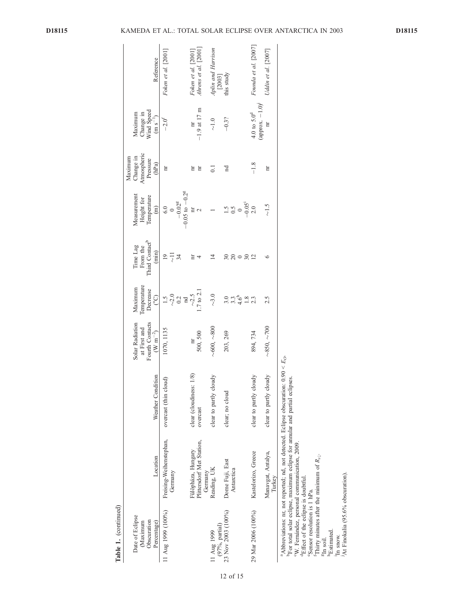| Table 1. (continued)                                     |                                                                                                                                                                                   |                                     |                                                                    |                                                       |                                                                |                                                                          |                                                          |                                                               |                                             |
|----------------------------------------------------------|-----------------------------------------------------------------------------------------------------------------------------------------------------------------------------------|-------------------------------------|--------------------------------------------------------------------|-------------------------------------------------------|----------------------------------------------------------------|--------------------------------------------------------------------------|----------------------------------------------------------|---------------------------------------------------------------|---------------------------------------------|
| Date of Eclipse<br>Obscuration<br>Maximum<br>Percentage) | Location                                                                                                                                                                          | Weather Condition                   | Fourth Contacts<br>Solar Radiation<br>at First and<br>$(W m^{-2})$ | Temperature<br>Maximum<br>Decrease<br>ව               | Third Contact <sup>b</sup><br>Time Lag<br>From the<br>$(\min)$ | Measurement<br>Temperature<br>Height for<br>$\widehat{E}$                | Change in<br>Atmospheric<br>Maximum<br>Pressure<br>(hPa) | Wind Speed<br>Maximum<br>Change in<br>$(m s^{-1})$            | Reference                                   |
| 11 Aug 1999 (100%)                                       | Freising-Weihenstephan,<br>Germany                                                                                                                                                | overcast (thin cloud)               | 1070, 1135                                                         | $\frac{1.5}{2.0}$<br>0.2<br>md                        | $\overline{19}$<br>$\overline{z}$<br>34                        | $-0.05$ to $-0.2$ <sup>g</sup><br>$-0.02$ <sup>g</sup><br>6.0<br>$\circ$ | Ħ                                                        | $-2.0^{\text{t}}$                                             | Foken et al. [2001]                         |
|                                                          | Plittersdorf Met Station,<br>Fülöpháza, Hungary<br>Germany                                                                                                                        | clear (cloudiness: 1/8)<br>overcast | 500, 500<br>$\overline{\mathbf{u}}$                                | $.7 \text{ to } 2.1$<br>$\sim$ 2.5                    |                                                                | Ħ<br>$\mathbf{\sim}$                                                     | Ħ<br>Ħ                                                   | $-1.9$ at 17 m                                                | Ahrens et al. [2001]<br>Foken et al. [2001] |
| $(97\%,$ partial)<br>11 Aug 1999                         | Reading, UK                                                                                                                                                                       | clear to partly cloudy              | ~1000,~1000                                                        | $\sim$ 3.0                                            | $\bar{4}$                                                      |                                                                          | $\overline{C}$                                           | $\overline{C}$                                                | Aplin and Harrison<br>[2003]                |
| 23 Nov 2003 (100%)                                       | Dome Fuji, East<br>Antarctica                                                                                                                                                     | clear; no cloud                     | 203, 269                                                           | $3.\overline{3}$<br>4.6 <sup>h</sup><br>$\frac{8}{1}$ | 20                                                             | $\frac{1.5}{0.5}$<br>$\frac{0}{0.05}$<br>$\frac{0}{2.0}$                 | 'n                                                       | $-0.3?$                                                       | this study                                  |
| 29 Mar 2006 (100%)                                       | Kastelorizo, Greece                                                                                                                                                               | clear to partly cloudy              | 894, 734                                                           |                                                       | $\overline{12}$                                                |                                                                          | $-1.8$                                                   | (approx. $-1.0$ ) <sup><math>i</math></sup><br>4.0 to $5.0^d$ | Founda et al. [2007]                        |
|                                                          | Manavgat, Antalya,<br>Turkey                                                                                                                                                      | clear to partly cloudy              | $\sim\!\!850,\sim\!\!700$                                          | 2.5                                                   | ७                                                              | $\sim$ 1.5                                                               | Ħ                                                        | Ħ                                                             | Uddin et al. [2007]                         |
|                                                          | <sup>3</sup> Abbreviations: nr, not reported; nd, not detected. Eclipse obscuration: 0.<br><sup>b</sup> For total solar eclipse, maximum eclipse for annular and partial eclipses | .90 < $E_O$                         |                                                                    |                                                       |                                                                |                                                                          |                                                          |                                                               |                                             |

Table 1. (continued)

cW. Ferna´ndez, personal communication, 2009. dEffect of the eclipse is doubtful.

eSensor resolution is 1 hPa.

Thirty minutes after the minimum of  $R_{s_{\perp}}$ .

<sup>g</sup>In soil.<br><sup>h</sup>Estimated.<br>In snow.

jAt Finokalia (95.6% obscuration).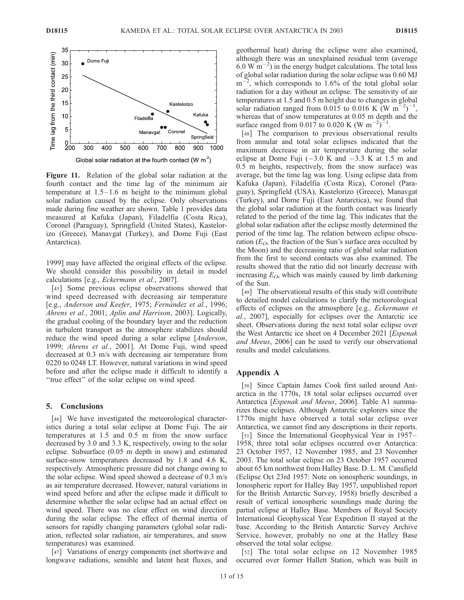

Figure 11. Relation of the global solar radiation at the fourth contact and the time lag of the minimum air temperature at  $1.5-1.6$  m height to the minimum global solar radiation caused by the eclipse. Only observations made during fine weather are shown. Table 1 provides data measured at Kafuka (Japan), Filadelfia (Costa Rica), Coronel (Paraguay), Springfield (United States), Kastelorizo (Greece), Manavgat (Turkey), and Dome Fuji (East Antarctica).

1999] may have affected the original effects of the eclipse. We should consider this possibility in detail in model calculations [e.g., Eckermann et al., 2007].

[45] Some previous eclipse observations showed that wind speed decreased with decreasing air temperature [e.g., Anderson and Keefer, 1975; Fernández et al., 1996; Ahrens et al., 2001; Aplin and Harrison, 2003]. Logically, the gradual cooling of the boundary layer and the reduction in turbulent transport as the atmosphere stabilizes should reduce the wind speed during a solar eclipse [Anderson, 1999; Ahrens et al., 2001]. At Dome Fuji, wind speed decreased at 0.3 m/s with decreasing air temperature from 0220 to 0248 LT. However, natural variations in wind speed before and after the eclipse made it difficult to identify a ''true effect'' of the solar eclipse on wind speed.

## 5. Conclusions

[46] We have investigated the meteorological characteristics during a total solar eclipse at Dome Fuji. The air temperatures at 1.5 and 0.5 m from the snow surface decreased by 3.0 and 3.3 K, respectively, owing to the solar eclipse. Subsurface (0.05 m depth in snow) and estimated surface-snow temperatures decreased by 1.8 and 4.6 K, respectively. Atmospheric pressure did not change owing to the solar eclipse. Wind speed showed a decrease of 0.3 m/s as air temperature decreased. However, natural variations in wind speed before and after the eclipse made it difficult to determine whether the solar eclipse had an actual effect on wind speed. There was no clear effect on wind direction during the solar eclipse. The effect of thermal inertia of sensors for rapidly changing parameters (global solar radiation, reflected solar radiation, air temperatures, and snow temperatures) was examined.

[47] Variations of energy components (net shortwave and longwave radiations, sensible and latent heat fluxes, and geothermal heat) during the eclipse were also examined, although there was an unexplained residual term (average  $6.0 \text{ W m}^{-2}$ ) in the energy budget calculations. The total loss of global solar radiation during the solar eclipse was 0.60 MJ  $m^{-2}$ , which corresponds to 1.6% of the total global solar radiation for a day without an eclipse. The sensitivity of air temperatures at 1.5 and 0.5 m height due to changes in global solar radiation ranged from 0.015 to 0.016 K (W m<sup>-2</sup>)<sup>-1</sup>, whereas that of snow temperatures at 0.05 m depth and the surface ranged from 0.017 to 0.020 K (W m<sup>-2</sup>)<sup>-1</sup>.

[48] The comparison to previous observational results from annular and total solar eclipses indicated that the maximum decrease in air temperature during the solar eclipse at Dome Fuji  $(-3.0 \text{ K and } -3.3 \text{ K at } 1.5 \text{ m and }$ 0.5 m heights, respectively, from the snow surface) was average, but the time lag was long. Using eclipse data from Kafuka (Japan), Filadelfia (Costa Rica), Coronel (Paraguay), Springfield (USA), Kastelorizo (Greece), Manavgat (Turkey), and Dome Fuji (East Antarctica), we found that the global solar radiation at the fourth contact was linearly related to the period of the time lag. This indicates that the global solar radiation after the eclipse mostly determined the period of the time lag. The relation between eclipse obscuration ( $E_O$ , the fraction of the Sun's surface area occulted by the Moon) and the decreasing ratio of global solar radiation from the first to second contacts was also examined. The results showed that the ratio did not linearly decrease with increasing  $E_O$ , which was mainly caused by limb darkening of the Sun.

[49] The observational results of this study will contribute to detailed model calculations to clarify the meteorological effects of eclipses on the atmosphere [e.g., Eckermann et al., 2007], especially for eclipses over the Antarctic ice sheet. Observations during the next total solar eclipse over the West Antarctic ice sheet on 4 December 2021 [Espenak and Meeus, 2006] can be used to verify our observational results and model calculations.

## Appendix A

[50] Since Captain James Cook first sailed around Antarctica in the 1770s, 18 total solar eclipses occurred over Antarctica [*Espenak and Meeus*, 2006]. Table A1 summarizes these eclipses. Although Antarctic explorers since the 1770s might have observed a total solar eclipse over Antarctica, we cannot find any descriptions in their reports.

[51] Since the International Geophysical Year in 1957– 1958, three total solar eclipses occurred over Antarctica: 23 October 1957, 12 November 1985, and 23 November 2003. The total solar eclipse on 23 October 1957 occurred about 65 km northwest from Halley Base. D. L. M. Cansfield (Eclipse Oct 23rd 1957: Note on ionospheric soundings, in Ionospheric report for Halley Bay 1957, unpublished report for the British Antarctic Survey, 1958) briefly described a result of vertical ionospheric soundings made during the partial eclipse at Halley Base. Members of Royal Society International Geophysical Year Expedition II stayed at the base. According to the British Antarctic Survey Archive Service, however, probably no one at the Halley Base observed the total solar eclipse.

[52] The total solar eclipse on 12 November 1985 occurred over former Hallett Station, which was built in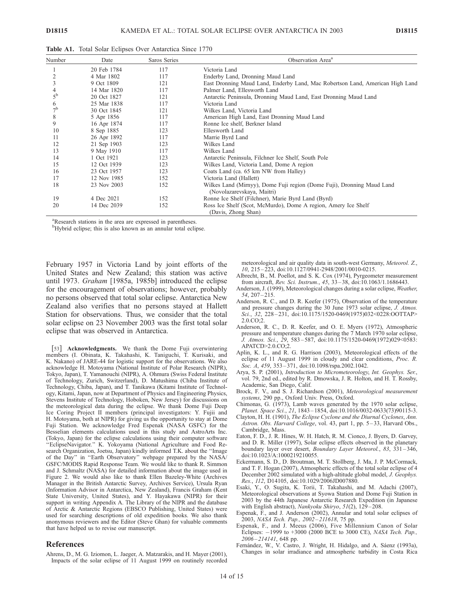|  | Table A1. Total Solar Eclipses Over Antarctica Since 1770 |  |  |  |  |  |
|--|-----------------------------------------------------------|--|--|--|--|--|
|--|-----------------------------------------------------------|--|--|--|--|--|

| Number         | Date        | Saros Series | Observation Area <sup>a</sup>                                                                        |
|----------------|-------------|--------------|------------------------------------------------------------------------------------------------------|
|                | 20 Feb 1784 | 117          | Victoria Land                                                                                        |
|                | 4 Mar 1802  | 117          | Enderby Land, Dronning Maud Land                                                                     |
| 3              | 9 Oct 1809  | 121          | East Dronning Maud Land, Enderby Land, Mac Robertson Land, American High Land                        |
| 4              | 14 Mar 1820 | 117          | Palmer Land, Ellesworth Land                                                                         |
| $5^{\rm b}$    | 20 Oct 1827 | 121          | Antarctic Peninsula, Dronning Maud Land, East Dronning Maud Land                                     |
| 6              | 25 Mar 1838 | 117          | Victoria Land                                                                                        |
| 7 <sup>b</sup> | 30 Oct 1845 | 121          | Wilkes Land, Victoria Land                                                                           |
| 8              | 5 Apr 1856  | 117          | American High Land, East Dronning Maud Land                                                          |
| 9              | 16 Apr 1874 | 117          | Ronne Ice shelf, Berkner Island                                                                      |
| 10             | 8 Sep 1885  | 123          | Ellesworth Land                                                                                      |
| 11             | 26 Apr 1892 | 117          | Marrie Byrd Land                                                                                     |
| 12             | 21 Sep 1903 | 123          | Wilkes Land                                                                                          |
| 13             | 9 May 1910  | 117          | Wilkes Land                                                                                          |
| 14             | 1 Oct 1921  | 123          | Antarctic Peninsula, Filchner Ice Shelf, South Pole                                                  |
| 15             | 12 Oct 1939 | 123          | Wilkes Land, Victoria Land, Dome A region                                                            |
| 16             | 23 Oct 1957 | 123          | Coats Land (ca. 65 km NW from Halley)                                                                |
| 17             | 12 Nov 1985 | 152          | Victoria Land (Hallett)                                                                              |
| 18             | 23 Nov 2003 | 152          | Wilkes Land (Mirnyy), Dome Fuji region (Dome Fuji), Dronning Maud Land<br>(Novolazarevskaya, Maitri) |
| 19             | 4 Dec 2021  | 152          | Ronne Ice Shelf (Filchner), Marie Byrd Land (Byrd)                                                   |
| 20             | 14 Dec 2039 | 152          | Ross Ice Shelf (Scot, McMurdo), Dome A region, Amery Ice Shelf<br>(Davis, Zhong Shan)                |

<sup>a</sup>Research stations in the area are expressed in parentheses.

<sup>b</sup>Hybrid eclipse; this is also known as an annular total eclipse.

February 1957 in Victoria Land by joint efforts of the United States and New Zealand; this station was active until 1973. Graham [1985a, 1985b] introduced the eclipse for the encouragement of observations; however, probably no persons observed that total solar eclipse. Antarctica New Zealand also verifies that no persons stayed at Hallett Station for observations. Thus, we consider that the total solar eclipse on 23 November 2003 was the first total solar eclipse that was observed in Antarctica.

[53] Acknowledgments. We thank the Dome Fuji overwintering members (I. Obinata, K. Takahashi, K. Taniguchi, T. Kurisaki, and K. Nakano) of JARE-44 for logistic support for the observations. We also acknowledge H. Motoyama (National Institute of Polar Research (NIPR), Tokyo, Japan), T. Yamanouchi (NIPR), A. Ohmura (Swiss Federal Institute of Technology, Zurich, Switzerland), D. Matushima (Chiba Institute of Technology, Chiba, Japan), and T. Tanikawa (Kitami Institute of Technology, Kitami, Japan, now at Department of Physics and Engineering Physics, Stevens Institute of Technology, Hoboken, New Jersey) for discussions on the meteorological data during the eclipse. We thank Dome Fuji Deep Ice Coring Project II members (principal investigators: Y. Fujii and H. Motoyama, both at NIPR) for giving us the opportunity to stay at Dome Fuji Station. We acknowledge Fred Espenak (NASA GSFC) for the Besselian elements calculations used in this study and AstroArts Inc. (Tokyo, Japan) for the eclipse calculations using their computer software ''EclipseNavigator.'' K. Yokoyama (National Agriculture and Food Research Organization, Joetsu, Japan) kindly informed T.K. about the ''Image of the Day'' in ''Earth Observatory'' webpage prepared by the NASA/ GSFC/MODIS Rapid Response Team. We would like to thank R. Simmon and J. Schmaltz (NASA) for detailed information about the image used in Figure 2. We would also like to thank Ellen Bazeley-White (Archives Manager in the British Antarctic Survey, Archives Service), Ursula Ryan (Information Advisor in Antarctica, New Zealand), Francis Graham (Kent State University, United States), and Y. Hayakawa (NIPR) for their support in writing Appendix A. The Library of the NIPR and the database of Arctic & Antarctic Regions (EBSCO Publishing, United States) were used for searching descriptions of old expedition books. We also thank anonymous reviewers and the Editor (Steve Ghan) for valuable comments that have helped us to revise our manuscript.

#### References

Ahrens, D., M. G. Iziomon, L. Jaeger, A. Matzarakis, and H. Mayer (2001), Impacts of the solar eclipse of 11 August 1999 on routinely recorded meteorological and air quality data in south-west Germany, Meteorol. Z., 10, 215 – 223, doi:10.1127/0941-2948/2001/0010-0215.

- Albrecht, B., M. Poellot, and S. K. Cox (1974), Pyrgeometer measurement from aircraft, Rev. Sci. Instrum., 45, 33 – 38, doi:10.1063/1.1686443.
- Anderson, J. (1999), Meteorological changes during a solar eclipse, Weather, 54, 207 – 215.
- Anderson, R. C., and D. R. Keefer (1975), Observation of the temperature and pressure changes during the 30 June 1973 solar eclipse, J. Atmos.  $Sci.$ , 32, 228 – 231, doi:10.1175/1520-0469(1975)032<0228:OOTTAP>  $2.0 \text{ CO} \cdot 2$
- Anderson, R. C., D. R. Keefer, and O. E. Myers (1972), Atmospheric pressure and temperature changes during the 7 March 1970 solar eclipse, J. Atmos. Sci., 29, 583 – 587, doi:10.1175/1520-0469(1972)029<0583: APATCD>2.0.CO;2.
- Aplin, K. L., and R. G. Harrison (2003), Meteorological effects of the eclipse of 11 August 1999 in cloudy and clear conditions, Proc. R. Soc. A, 459, 353-371, doi:10.1098/rspa.2002.1042.
- Arya, S. P. (2001), Introduction to Micrometeorology, Int. Geophys. Ser., vol. 79, 2nd ed., edited by R. Dmowska, J. R. Holton, and H. T. Rossby, Academic, San Diego, Calif.
- Brock, F. V., and S. J. Richardson (2001), Meteorological measurement systems, 290 pp., Oxford Univ. Press, Oxford.
- Chimonas, G. (1973), Lamb waves generated by the 1970 solar eclipse, Planet. Space Sci., 21, 1843 – 1854, doi:10.1016/0032-0633(73)90115-3.
- Clayton, H. H. (1901), The Eclipse Cyclone and the Diurnal Cyclones, Ann. Astron. Obs. Harvard College, vol. 43, part 1, pp. 5 – 33, Harvard Obs., Cambridge, Mass.
- Eaton, F. D., J. R. Hines, W. H. Hatch, R. M. Cionco, J. Byers, D. Garvey, and D. R. Miller (1997), Solar eclipse effects observed in the planetary boundary layer over desert, Boundary Layer Meteorol., 83, 331 – 346, doi:10.1023/A:1000219210055.
- Eckermann, S. D., D. Broutman, M. T. Stollberg, J. Ma, J. P. McCormack, and T. F. Hogan (2007), Atmospheric effects of the total solar eclipse of 4 December 2002 simulated with a high-altitude global model, J. Geophys. Res., 112, D14105, doi:10.1029/2006JD007880.
- Esaki, Y., O. Sugita, K. Torii, T. Takahashi, and M. Adachi (2007), Meteorological observations at Syowa Station and Dome Fuji Station in 2003 by the 44th Japanese Antarctic Research Expedition (in Japanese with English abstract), Nankyoku Shiryo, 51(2), 129-208.
- Espenak, F., and J. Anderson (2002), Annular and total solar eclipses of 2003, NASA Tech. Pap., 2002 – 211618, 75 pp.
- Espenak, F., and J. Meeus (2006), Five Millennium Canon of Solar Eclipses:  $-1999$  to  $+3000$  (2000 BCE to 3000 CE), NASA Tech. Pap., 2006 – 214141, 648 pp.
- Fernández, W., V. Castro, J. Wright, H. Hidalgo, and A. Sáenz (1993a), Changes in solar irradiance and atmospheric turbidity in Costa Rica